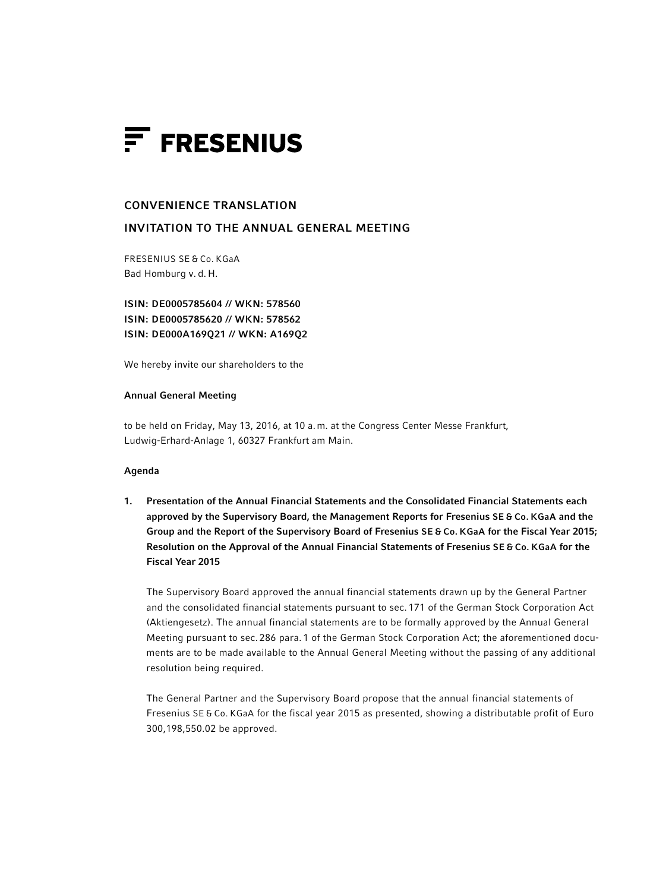

# CONVENIENCE TRANSLATION

# INVITATION TO THE ANNUAL GENERAL MEETING

FRESENIUS SE & Co. KGaA Bad Homburg v. d. H.

ISIN: DE0005785604 // WKN: 578560 ISIN: DE0005785620 // WKN: 578562 ISIN: DE000A169Q21 // WKN: A169Q2

We hereby invite our shareholders to the

#### Annual General Meeting

to be held on Friday, May 13, 2016, at 10 a.m. at the Congress Center Messe Frankfurt, Ludwig-Erhard-Anlage 1, 60327 Frankfurt am Main.

# Agenda

1. Presentation of the Annual Financial Statements and the Consolidated Financial Statements each approved by the Supervisory Board, the Management Reports for Fresenius SE & Co. KGaA and the Group and the Report of the Supervisory Board of Fresenius SE & Co. KGaA for the Fiscal Year 2015; Resolution on the Approval of the Annual Financial Statements of Fresenius SE & Co. KGaA for the Fiscal Year 2015

The Supervisory Board approved the annual financial statements drawn up by the General Partner and the consolidated financial statements pursuant to sec. 171 of the German Stock Corporation Act (Aktiengesetz). The annual financial statements are to be formally approved by the Annual General Meeting pursuant to sec. 286 para. 1 of the German Stock Corporation Act; the aforementioned documents are to be made available to the Annual General Meeting without the passing of any additional resolution being required.

The General Partner and the Supervisory Board propose that the annual financial statements of Fresenius SE & Co. KGaA for the fiscal year 2015 as presented, showing a distributable profit of Euro 300,198,550.02 be approved.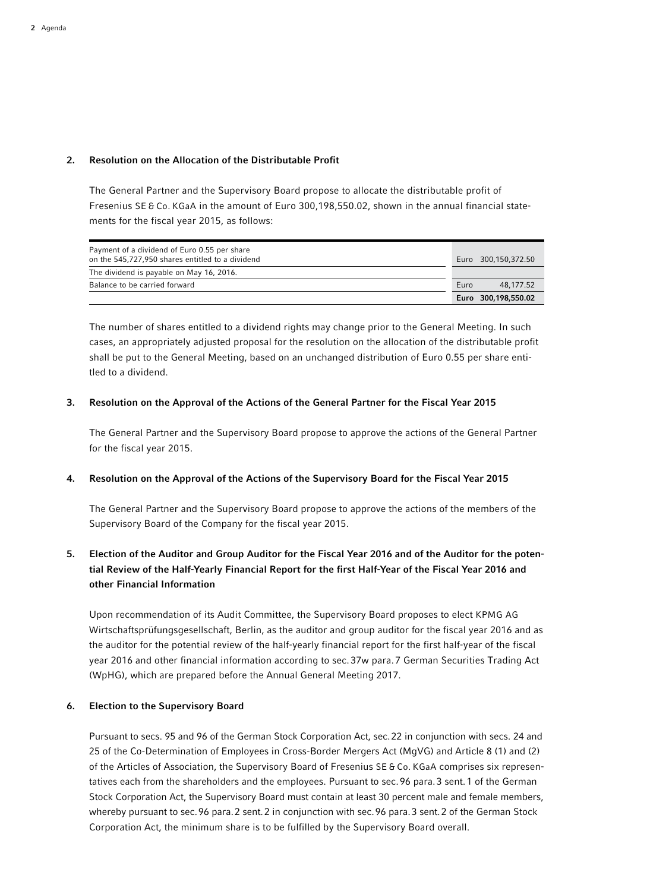# 2. Resolution on the Allocation of the Distributable Profit

The General Partner and the Supervisory Board propose to allocate the distributable profit of Fresenius SE & Co. KGaA in the amount of Euro 300,198,550.02, shown in the annual financial statements for the fiscal year 2015, as follows:

| Payment of a dividend of Euro 0.55 per share<br>on the 545,727,950 shares entitled to a dividend |      | Euro 300.150.372.50 |
|--------------------------------------------------------------------------------------------------|------|---------------------|
| The dividend is payable on May 16, 2016.                                                         |      |                     |
| Balance to be carried forward                                                                    | Euro | 48.177.52           |
|                                                                                                  |      | Euro 300,198,550.02 |

The number of shares entitled to a dividend rights may change prior to the General Meeting. In such cases, an appropriately adjusted proposal for the resolution on the allocation of the distributable profit shall be put to the General Meeting, based on an unchanged distribution of Euro 0.55 per share entitled to a dividend.

#### 3. Resolution on the Approval of the Actions of the General Partner for the Fiscal Year 2015

 The General Partner and the Supervisory Board propose to approve the actions of the General Partner for the fiscal year 2015.

# 4. Resolution on the Approval of the Actions of the Supervisory Board for the Fiscal Year 2015

 The General Partner and the Supervisory Board propose to approve the actions of the members of the Supervisory Board of the Company for the fiscal year 2015.

# 5. Election of the Auditor and Group Auditor for the Fiscal Year 2016 and of the Auditor for the potential Review of the Half-Yearly Financial Report for the first Half-Year of the Fiscal Year 2016 and other Financial Information

 Upon recommendation of its Audit Committee, the Supervisory Board proposes to elect KPMG AG Wirtschaftsprüfungsgesellschaft, Berlin, as the auditor and group auditor for the fiscal year 2016 and as the auditor for the potential review of the half-yearly financial report for the first half-year of the fiscal year 2016 and other financial information according to sec.37w para.7 German Securities Trading Act (WpHG), which are prepared before the Annual General Meeting 2017.

# 6. Election to the Supervisory Board

 Pursuant to secs. 95 and 96 of the German Stock Corporation Act, sec.22 in conjunction with secs. 24 and 25 of the Co-Determination of Employees in Cross-Border Mergers Act (MgVG) and Article 8 (1) and (2) of the Articles of Association, the Supervisory Board of Fresenius SE & Co. KGaA comprises six representatives each from the shareholders and the employees. Pursuant to sec.96 para.3 sent.1 of the German Stock Corporation Act, the Supervisory Board must contain at least 30 percent male and female members, whereby pursuant to sec.96 para.2 sent.2 in conjunction with sec.96 para.3 sent.2 of the German Stock Corporation Act, the minimum share is to be fulfilled by the Supervisory Board overall.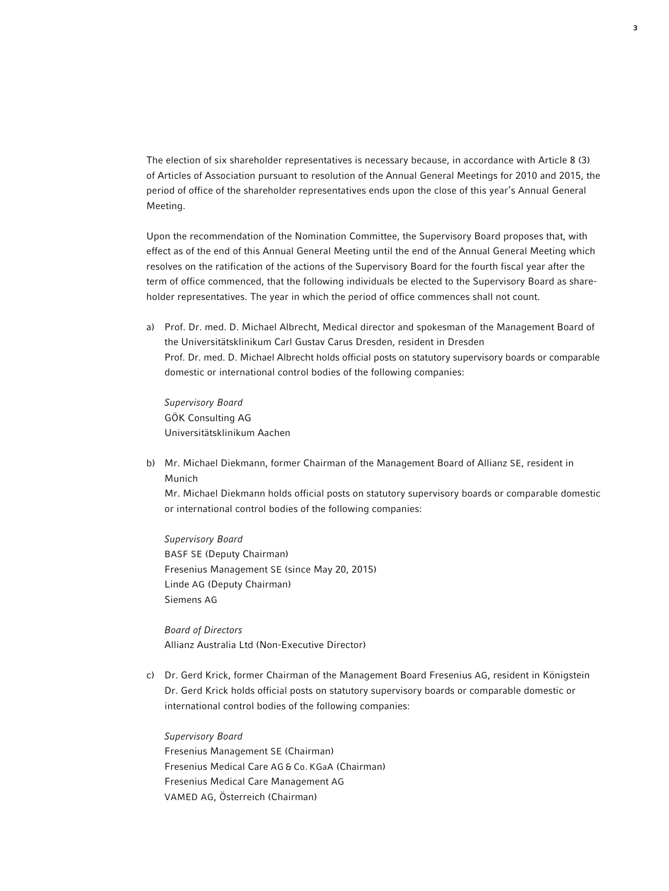The election of six shareholder representatives is necessary because, in accordance with Article 8 (3) of Articles of Association pursuant to resolution of the Annual General Meetings for 2010 and 2015, the period of office of the shareholder representatives ends upon the close of this year's Annual General Meeting.

 Upon the recommendation of the Nomination Committee, the Supervisory Board proposes that, with effect as of the end of this Annual General Meeting until the end of the Annual General Meeting which resolves on the ratification of the actions of the Supervisory Board for the fourth fiscal year after the term of office commenced, that the following individuals be elected to the Supervisory Board as shareholder representatives. The year in which the period of office commences shall not count.

a) Prof. Dr. med. D. Michael Albrecht, Medical director and spokesman of the Management Board of the Universitätsklinikum Carl Gustav Carus Dresden, resident in Dresden Prof. Dr. med. D. Michael Albrecht holds official posts on statutory supervisory boards or comparable domestic or international control bodies of the following companies:

 *Supervisory Board* GÖK Consulting AG Universitätsklinikum Aachen

b) Mr. Michael Diekmann, former Chairman of the Management Board of Allianz SE, resident in Munich

 Mr. Michael Diekmann holds official posts on statutory supervisory boards or comparable domestic or international control bodies of the following companies:

 *Supervisory Board* BASF SE (Deputy Chairman) Fresenius Management SE (since May 20, 2015) Linde AG (Deputy Chairman) Siemens AG

 *Board of Directors* Allianz Australia Ltd (Non-Executive Director)

c) Dr. Gerd Krick, former Chairman of the Management Board Fresenius AG, resident in Königstein Dr. Gerd Krick holds official posts on statutory supervisory boards or comparable domestic or international control bodies of the following companies:

 *Supervisory Board* Fresenius Management SE (Chairman) Fresenius Medical Care AG & Co. KGaA (Chairman) Fresenius Medical Care Management AG VAMED AG, Österreich (Chairman)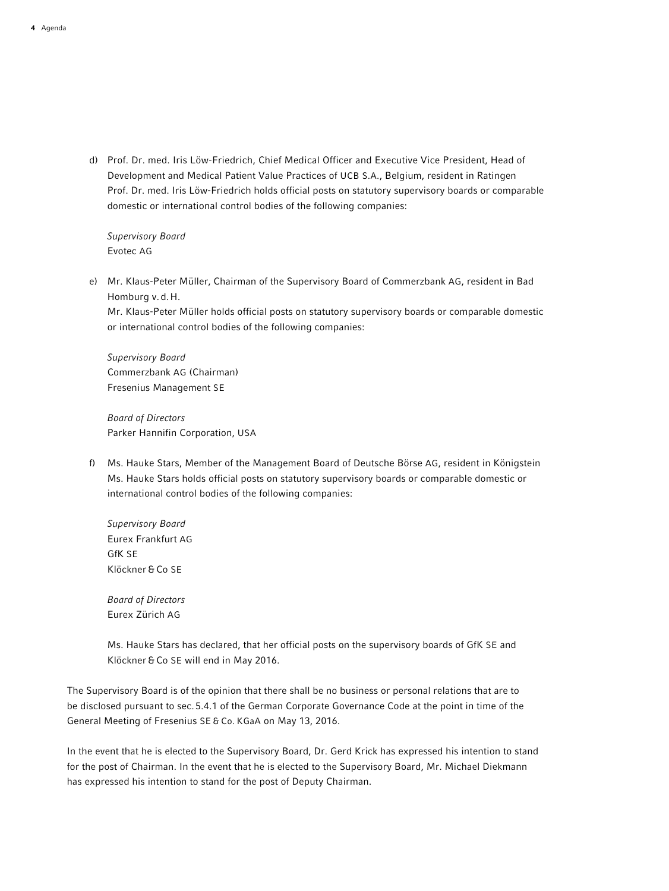d) Prof. Dr. med. Iris Löw-Friedrich, Chief Medical Officer and Executive Vice President, Head of Development and Medical Patient Value Practices of UCB S.A., Belgium, resident in Ratingen Prof. Dr. med. Iris Löw-Friedrich holds official posts on statutory supervisory boards or comparable domestic or international control bodies of the following companies:

 *Supervisory Board* Evotec AG

e) Mr. Klaus-Peter Müller, Chairman of the Supervisory Board of Commerzbank AG, resident in Bad Homburg v.d.H.

 Mr. Klaus-Peter Müller holds official posts on statutory supervisory boards or comparable domestic or international control bodies of the following companies:

 *Supervisory Board* Commerzbank AG (Chairman) Fresenius Management SE

 *Board of Directors* Parker Hannifin Corporation, USA

f) Ms. Hauke Stars, Member of the Management Board of Deutsche Börse AG, resident in Königstein Ms. Hauke Stars holds official posts on statutory supervisory boards or comparable domestic or international control bodies of the following companies:

 *Supervisory Board* Eurex Frankfurt AG GfK SE Klöckner&Co SE

 *Board of Directors* Eurex Zürich AG

 Ms. Hauke Stars has declared, that her official posts on the supervisory boards of GfK SE and Klöckner&Co SE will end in May 2016.

The Supervisory Board is of the opinion that there shall be no business or personal relations that are to be disclosed pursuant to sec.5.4.1 of the German Corporate Governance Code at the point in time of the General Meeting of Fresenius SE & Co. KGaA on May 13, 2016.

In the event that he is elected to the Supervisory Board, Dr. Gerd Krick has expressed his intention to stand for the post of Chairman. In the event that he is elected to the Supervisory Board, Mr. Michael Diekmann has expressed his intention to stand for the post of Deputy Chairman.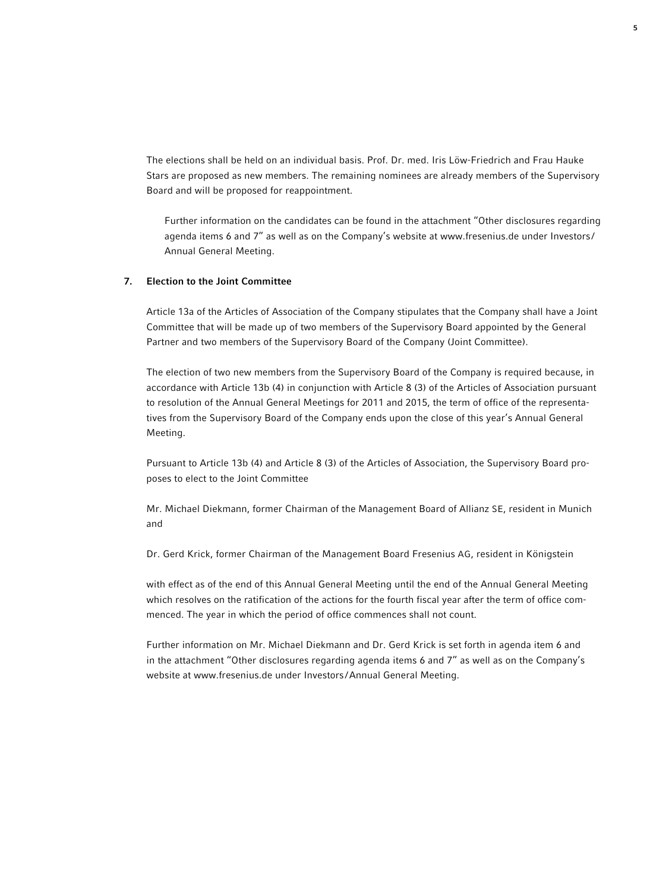The elections shall be held on an individual basis. Prof. Dr. med. Iris Löw-Friedrich and Frau Hauke Stars are proposed as new members. The remaining nominees are already members of the Supervisory Board and will be proposed for reappointment.

 Further information on the candidates can be found in the attachment "Other disclosures regarding agenda items 6 and 7" as well as on the Company's website at www.fresenius.de under Investors/ Annual General Meeting.

#### 7. Election to the Joint Committee

 Article 13a of the Articles of Association of the Company stipulates that the Company shall have a Joint Committee that will be made up of two members of the Supervisory Board appointed by the General Partner and two members of the Supervisory Board of the Company (Joint Committee).

 The election of two new members from the Supervisory Board of the Company is required because, in accordance with Article 13b (4) in conjunction with Article 8 (3) of the Articles of Association pursuant to resolution of the Annual General Meetings for 2011 and 2015, the term of office of the representatives from the Supervisory Board of the Company ends upon the close of this year's Annual General Meeting.

 Pursuant to Article 13b (4) and Article 8 (3) of the Articles of Association, the Supervisory Board proposes to elect to the Joint Committee

 Mr. Michael Diekmann, former Chairman of the Management Board of Allianz SE, resident in Munich and

Dr. Gerd Krick, former Chairman of the Management Board Fresenius AG, resident in Königstein

 with effect as of the end of this Annual General Meeting until the end of the Annual General Meeting which resolves on the ratification of the actions for the fourth fiscal year after the term of office commenced. The year in which the period of office commences shall not count.

 Further information on Mr. Michael Diekmann and Dr. Gerd Krick is set forth in agenda item 6 and in the attachment "Other disclosures regarding agenda items 6 and 7" as well as on the Company's website at www.fresenius.de under Investors /Annual General Meeting.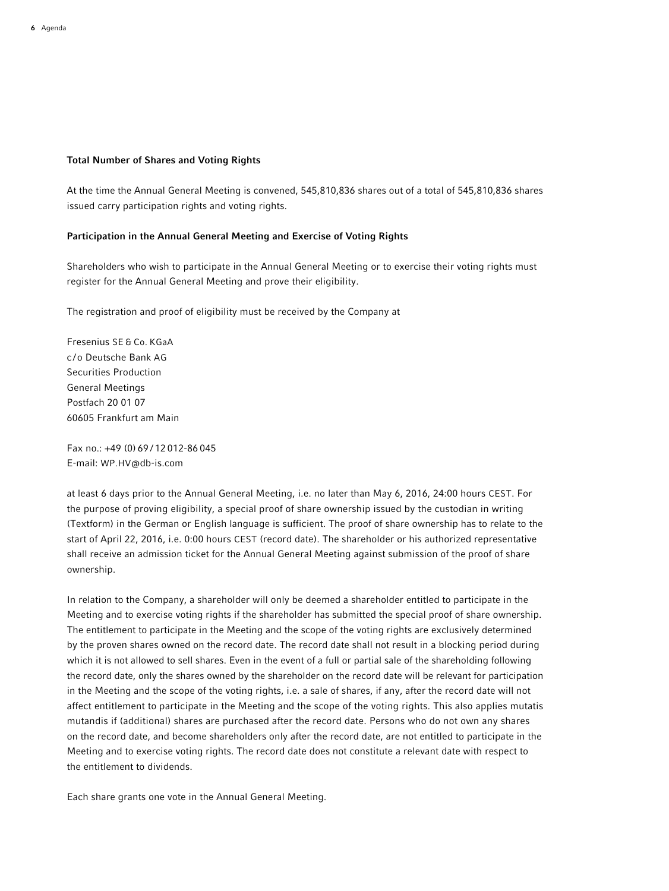#### Total Number of Shares and Voting Rights

At the time the Annual General Meeting is convened, 545,810,836 shares out of a total of 545,810,836 shares issued carry participation rights and voting rights.

#### Participation in the Annual General Meeting and Exercise of Voting Rights

Shareholders who wish to participate in the Annual General Meeting or to exercise their voting rights must register for the Annual General Meeting and prove their eligibility.

The registration and proof of eligibility must be received by the Company at

Fresenius SE & Co. KGaA c /o Deutsche Bank AG Securities Production General Meetings Postfach 20 01 07 60605 Frankfurt am Main

Fax no.: +49 (0) 69 / 12 012-86 045 E-mail: WP.HV@db-is.com

at least 6 days prior to the Annual General Meeting, i.e. no later than May 6, 2016, 24:00 hours CEST. For the purpose of proving eligibility, a special proof of share ownership issued by the custodian in writing (Textform) in the German or English language is sufficient. The proof of share ownership has to relate to the start of April 22, 2016, i.e. 0:00 hours CEST (record date). The shareholder or his authorized representative shall receive an admission ticket for the Annual General Meeting against submission of the proof of share ownership.

In relation to the Company, a shareholder will only be deemed a shareholder entitled to participate in the Meeting and to exercise voting rights if the shareholder has submitted the special proof of share ownership. The entitlement to participate in the Meeting and the scope of the voting rights are exclusively determined by the proven shares owned on the record date. The record date shall not result in a blocking period during which it is not allowed to sell shares. Even in the event of a full or partial sale of the shareholding following the record date, only the shares owned by the shareholder on the record date will be relevant for participation in the Meeting and the scope of the voting rights, i.e. a sale of shares, if any, after the record date will not affect entitlement to participate in the Meeting and the scope of the voting rights. This also applies mutatis mutandis if (additional) shares are purchased after the record date. Persons who do not own any shares on the record date, and become shareholders only after the record date, are not entitled to participate in the Meeting and to exercise voting rights. The record date does not constitute a relevant date with respect to the entitlement to dividends.

Each share grants one vote in the Annual General Meeting.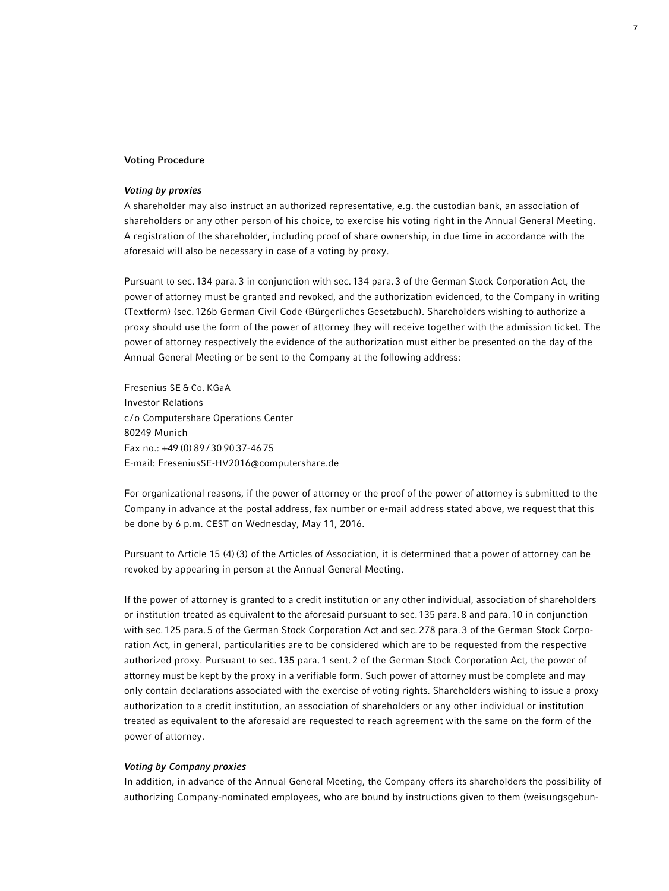#### Voting Procedure

### *Voting by proxies*

A shareholder may also instruct an authorized representative, e.g. the custodian bank, an association of shareholders or any other person of his choice, to exercise his voting right in the Annual General Meeting. A registration of the shareholder, including proof of share ownership, in due time in accordance with the aforesaid will also be necessary in case of a voting by proxy.

Pursuant to sec.134 para.3 in conjunction with sec.134 para.3 of the German Stock Corporation Act, the power of attorney must be granted and revoked, and the authorization evidenced, to the Company in writing (Textform) (sec.126b German Civil Code (Bürgerliches Gesetzbuch). Shareholders wishing to authorize a proxy should use the form of the power of attorney they will receive together with the admission ticket. The power of attorney respectively the evidence of the authorization must either be presented on the day of the Annual General Meeting or be sent to the Company at the following address:

Fresenius SE & Co. KGaA Investor Relations c /o Computershare Operations Center 80249 Munich Fax no.: +49 (0) 89 / 30 90 37-46 75 E-mail: FreseniusSE-HV2016@computershare.de

For organizational reasons, if the power of attorney or the proof of the power of attorney is submitted to the Company in advance at the postal address, fax number or e-mail address stated above, we request that this be done by 6 p.m. CEST on Wednesday, May 11, 2016.

Pursuant to Article 15 (4)(3) of the Articles of Association, it is determined that a power of attorney can be revoked by appearing in person at the Annual General Meeting.

If the power of attorney is granted to a credit institution or any other individual, association of shareholders or institution treated as equivalent to the aforesaid pursuant to sec.135 para.8 and para.10 in conjunction with sec.125 para.5 of the German Stock Corporation Act and sec.278 para.3 of the German Stock Corporation Act, in general, particularities are to be considered which are to be requested from the respective authorized proxy. Pursuant to sec.135 para.1 sent.2 of the German Stock Corporation Act, the power of attorney must be kept by the proxy in a verifiable form. Such power of attorney must be complete and may only contain declarations associated with the exercise of voting rights. Shareholders wishing to issue a proxy authorization to a credit institution, an association of shareholders or any other individual or institution treated as equivalent to the aforesaid are requested to reach agreement with the same on the form of the power of attorney.

#### *Voting by Company proxies*

In addition, in advance of the Annual General Meeting, the Company offers its shareholders the possibility of authorizing Company-nominated employees, who are bound by instructions given to them (weisungsgebun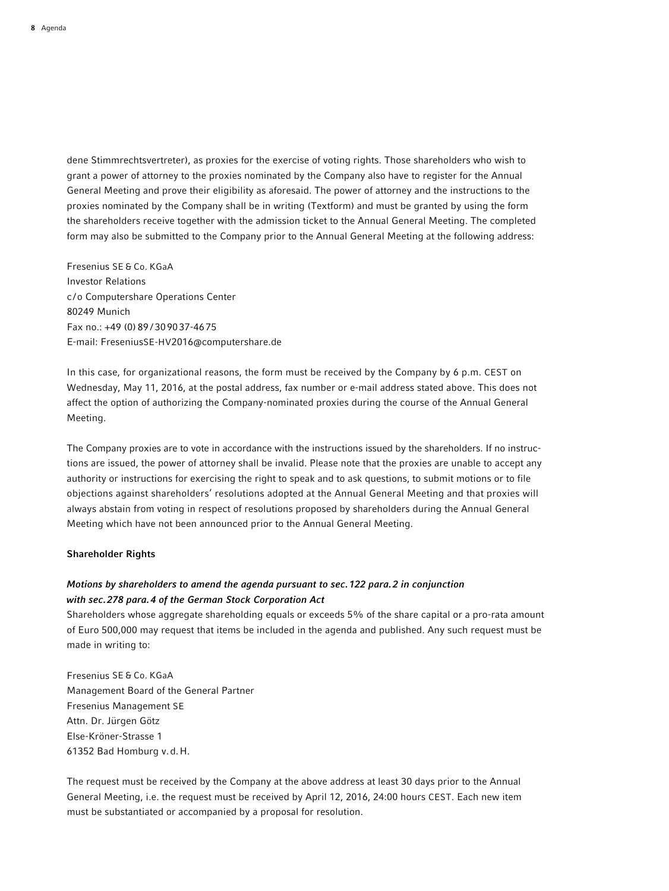dene Stimmrechtsvertreter), as proxies for the exercise of voting rights. Those shareholders who wish to grant a power of attorney to the proxies nominated by the Company also have to register for the Annual General Meeting and prove their eligibility as aforesaid. The power of attorney and the instructions to the proxies nominated by the Company shall be in writing (Textform) and must be granted by using the form the shareholders receive together with the admission ticket to the Annual General Meeting. The completed form may also be submitted to the Company prior to the Annual General Meeting at the following address:

Fresenius SE & Co. KGaA Investor Relations c /o Computershare Operations Center 80249 Munich Fax no.: +49 (0) 89 / 309037-4675 E-mail: FreseniusSE-HV2016@computershare.de

In this case, for organizational reasons, the form must be received by the Company by 6 p.m. CEST on Wednesday, May 11, 2016, at the postal address, fax number or e-mail address stated above. This does not affect the option of authorizing the Company-nominated proxies during the course of the Annual General Meeting.

The Company proxies are to vote in accordance with the instructions issued by the shareholders. If no instructions are issued, the power of attorney shall be invalid. Please note that the proxies are unable to accept any authority or instructions for exercising the right to speak and to ask questions, to submit motions or to file objections against shareholders' resolutions adopted at the Annual General Meeting and that proxies will always abstain from voting in respect of resolutions proposed by shareholders during the Annual General Meeting which have not been announced prior to the Annual General Meeting.

#### Shareholder Rights

# *Motions by shareholders to amend the agenda pursuant to sec.122 para.2 in conjunction with sec.278 para.4 of the German Stock Corporation Act*

Shareholders whose aggregate shareholding equals or exceeds 5% of the share capital or a pro-rata amount of Euro 500,000 may request that items be included in the agenda and published. Any such request must be made in writing to:

Fresenius SE & Co. KGaA Management Board of the General Partner Fresenius Management SE Attn. Dr. Jürgen Götz Else-Kröner-Strasse 1 61352 Bad Homburg v.d.H.

The request must be received by the Company at the above address at least 30 days prior to the Annual General Meeting, i.e. the request must be received by April 12, 2016, 24:00 hours CEST. Each new item must be substantiated or accompanied by a proposal for resolution.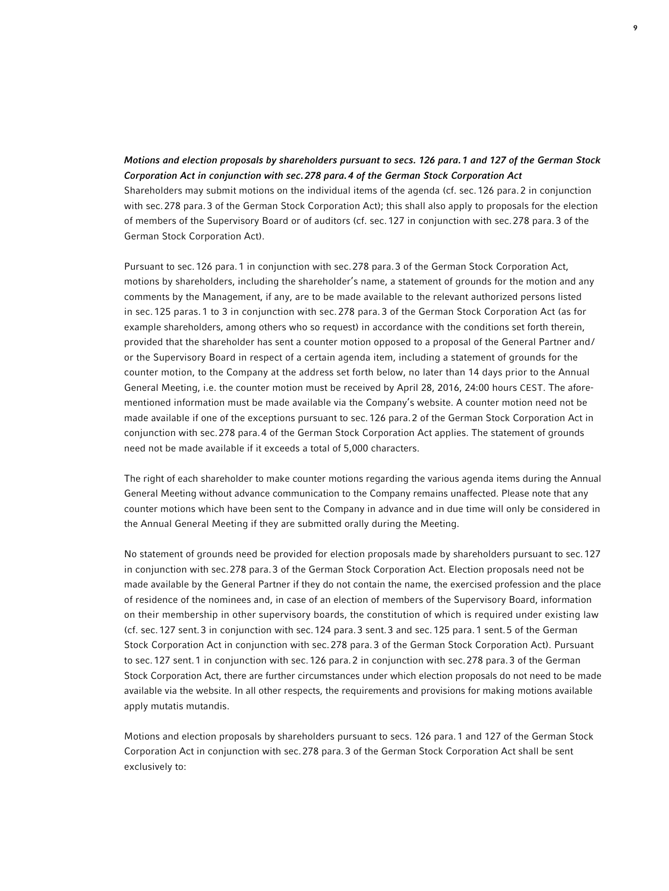# *Motions and election proposals by shareholders pursuant to secs. 126 para.1 and 127 of the German Stock Corporation Act in conjunction with sec.278 para.4 of the German Stock Corporation Act* Shareholders may submit motions on the individual items of the agenda (cf. sec.126 para.2 in conjunction with sec.278 para.3 of the German Stock Corporation Act); this shall also apply to proposals for the election of members of the Supervisory Board or of auditors (cf. sec.127 in conjunction with sec.278 para.3 of the German Stock Corporation Act).

Pursuant to sec.126 para.1 in conjunction with sec.278 para.3 of the German Stock Corporation Act, motions by shareholders, including the shareholder's name, a statement of grounds for the motion and any comments by the Management, if any, are to be made available to the relevant authorized persons listed in sec. 125 paras. 1 to 3 in conjunction with sec. 278 para. 3 of the German Stock Corporation Act (as for example shareholders, among others who so request) in accordance with the conditions set forth therein, provided that the shareholder has sent a counter motion opposed to a proposal of the General Partner and/ or the Supervisory Board in respect of a certain agenda item, including a statement of grounds for the counter motion, to the Company at the address set forth below, no later than 14 days prior to the Annual General Meeting, i.e. the counter motion must be received by April 28, 2016, 24:00 hours CEST. The aforementioned information must be made available via the Company's website. A counter motion need not be made available if one of the exceptions pursuant to sec.126 para.2 of the German Stock Corporation Act in conjunction with sec.278 para.4 of the German Stock Corporation Act applies. The statement of grounds need not be made available if it exceeds a total of 5,000 characters.

The right of each shareholder to make counter motions regarding the various agenda items during the Annual General Meeting without advance communication to the Company remains unaffected. Please note that any counter motions which have been sent to the Company in advance and in due time will only be considered in the Annual General Meeting if they are submitted orally during the Meeting.

No statement of grounds need be provided for election proposals made by shareholders pursuant to sec.127 in conjunction with sec.278 para.3 of the German Stock Corporation Act. Election proposals need not be made available by the General Partner if they do not contain the name, the exercised profession and the place of residence of the nominees and, in case of an election of members of the Supervisory Board, information on their membership in other supervisory boards, the constitution of which is required under existing law (cf. sec.127 sent.3 in conjunction with sec.124 para.3 sent.3 and sec.125 para.1 sent.5 of the German Stock Corporation Act in conjunction with sec.278 para.3 of the German Stock Corporation Act). Pursuant to sec.127 sent.1 in conjunction with sec.126 para.2 in conjunction with sec.278 para.3 of the German Stock Corporation Act, there are further circumstances under which election proposals do not need to be made available via the website. In all other respects, the requirements and provisions for making motions available apply mutatis mutandis.

Motions and election proposals by shareholders pursuant to secs. 126 para.1 and 127 of the German Stock Corporation Act in conjunction with sec.278 para.3 of the German Stock Corporation Act shall be sent exclusively to: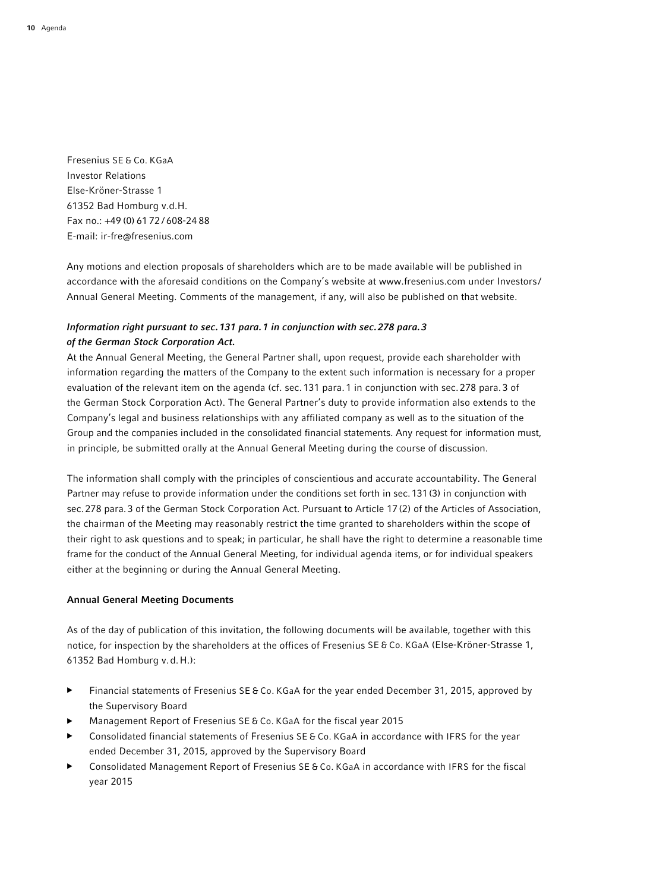Fresenius SE & Co. KGaA Investor Relations Else-Kröner-Strasse 1 61352 Bad Homburg v.d.H. Fax no.: +49 (0) 61 72 / 608-24 88 E-mail: ir-fre@fresenius.com

Any motions and election proposals of shareholders which are to be made available will be published in accordance with the aforesaid conditions on the Company's website at www.fresenius.com under Investors / Annual General Meeting. Comments of the management, if any, will also be published on that website.

# *Information right pursuant to sec.131 para.1 in conjunction with sec.278 para.3 of the German Stock Corporation Act.*

At the Annual General Meeting, the General Partner shall, upon request, provide each shareholder with information regarding the matters of the Company to the extent such information is necessary for a proper evaluation of the relevant item on the agenda (cf. sec.131 para.1 in conjunction with sec.278 para.3 of the German Stock Corporation Act). The General Partner's duty to provide information also extends to the Company's legal and business relationships with any affiliated company as well as to the situation of the Group and the companies included in the consolidated financial statements. Any request for information must, in principle, be submitted orally at the Annual General Meeting during the course of discussion.

The information shall comply with the principles of conscientious and accurate accountability. The General Partner may refuse to provide information under the conditions set forth in sec.131(3) in conjunction with sec.278 para.3 of the German Stock Corporation Act. Pursuant to Article 17(2) of the Articles of Association, the chairman of the Meeting may reasonably restrict the time granted to shareholders within the scope of their right to ask questions and to speak; in particular, he shall have the right to determine a reasonable time frame for the conduct of the Annual General Meeting, for individual agenda items, or for individual speakers either at the beginning or during the Annual General Meeting.

#### Annual General Meeting Documents

As of the day of publication of this invitation, the following documents will be available, together with this notice, for inspection by the shareholders at the offices of Fresenius SE & Co. KGaA (Else-Kröner-Strasse 1, 61352 Bad Homburg v.d.H.):

- ▶ Financial statements of Fresenius SE & Co. KGaA for the year ended December 31, 2015, approved by the Supervisory Board
- ▶ Management Report of Fresenius SE & Co. KGaA for the fiscal year 2015
- Consolidated financial statements of Fresenius SE & Co. KGaA in accordance with IFRS for the year ended December 31, 2015, approved by the Supervisory Board
- ▶ Consolidated Management Report of Fresenius SE & Co. KGaA in accordance with IFRS for the fiscal year 2015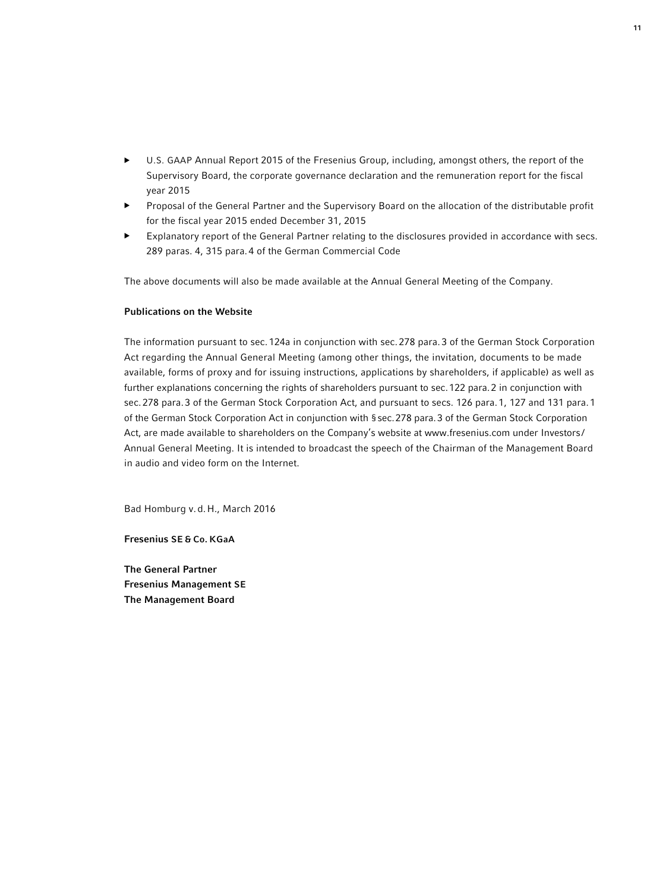- U.S. GAAP Annual Report 2015 of the Fresenius Group, including, amongst others, the report of the Supervisory Board, the corporate governance declaration and the remuneration report for the fiscal year 2015
- ▶ Proposal of the General Partner and the Supervisory Board on the allocation of the distributable profit for the fiscal year 2015 ended December 31, 2015
- Explanatory report of the General Partner relating to the disclosures provided in accordance with secs. 289 paras. 4, 315 para.4 of the German Commercial Code

The above documents will also be made available at the Annual General Meeting of the Company.

#### Publications on the Website

The information pursuant to sec.124a in conjunction with sec.278 para.3 of the German Stock Corporation Act regarding the Annual General Meeting (among other things, the invitation, documents to be made available, forms of proxy and for issuing instructions, applications by shareholders, if applicable) as well as further explanations concerning the rights of shareholders pursuant to sec.122 para.2 in conjunction with sec.278 para.3 of the German Stock Corporation Act, and pursuant to secs. 126 para.1, 127 and 131 para.1 of the German Stock Corporation Act in conjunction with §sec.278 para.3 of the German Stock Corporation Act, are made available to shareholders on the Company's website at www.fresenius.com under Investors / Annual General Meeting. It is intended to broadcast the speech of the Chairman of the Management Board in audio and video form on the Internet.

Bad Homburg v.d.H., March 2016

Fresenius SE & Co. KGaA

The General Partner Fresenius Management SE The Management Board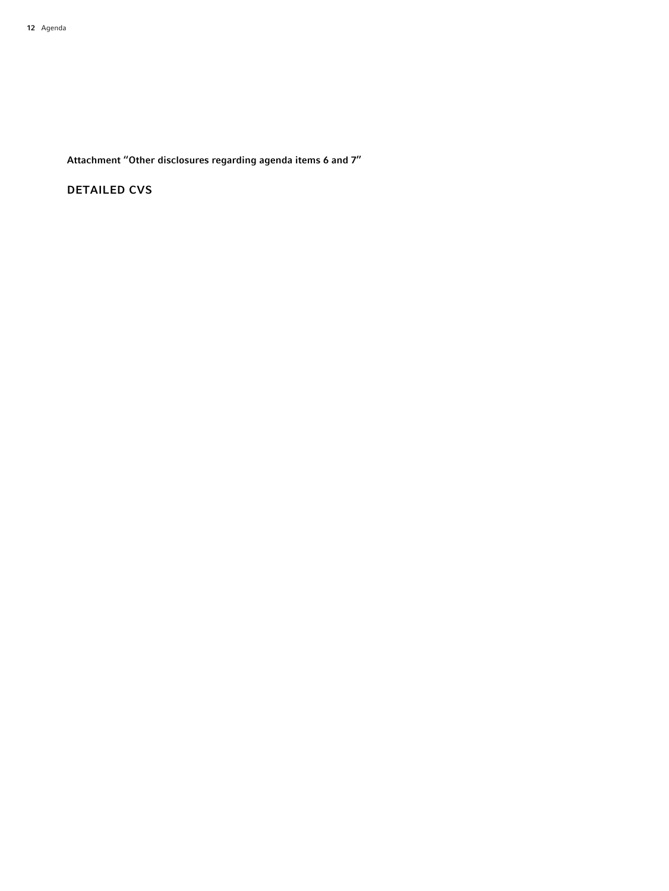Attachment "Other disclosures regarding agenda items 6 and 7"

DETAILED CVS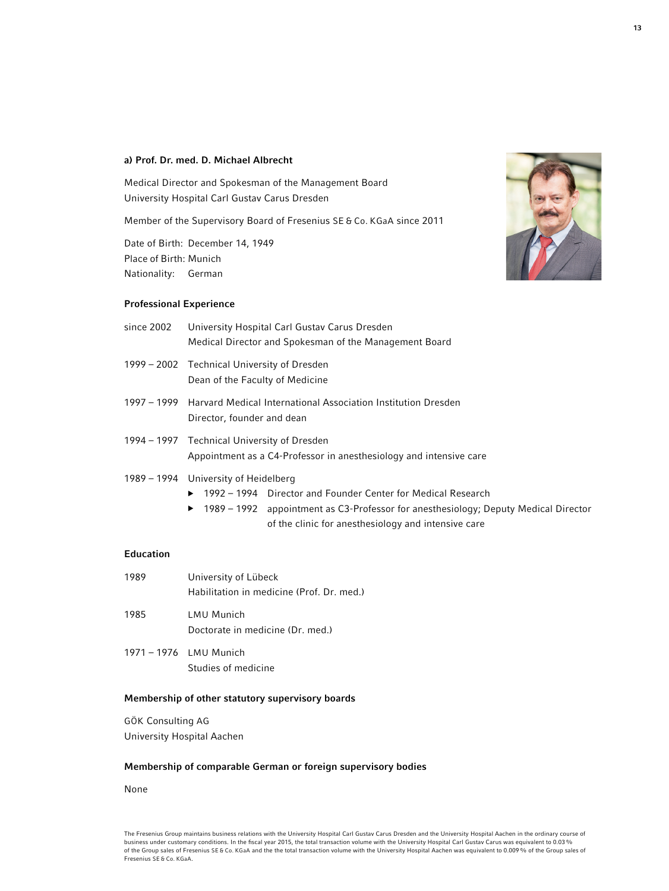#### a) Prof. Dr. med. D. Michael Albrecht

Medical Director and Spokesman of the Management Board University Hospital Carl Gustav Carus Dresden

Member of the Supervisory Board of Fresenius SE & Co. KGaA since 2011

Date of Birth: December 14, 1949 Place of Birth: Munich Nationality: German

#### Professional Experience



# of the clinic for anesthesiology and intensive care

# Education

| 1989 | University of Lübeck                                  |
|------|-------------------------------------------------------|
|      | Habilitation in medicine (Prof. Dr. med.)             |
| 1985 | <b>LMU Munich</b><br>Doctorate in medicine (Dr. med.) |
|      |                                                       |

1971 – 1976 LMU Munich Studies of medicine

# Membership of other statutory supervisory boards

GÖK Consulting AG University Hospital Aachen

#### Membership of comparable German or foreign supervisory bodies

None



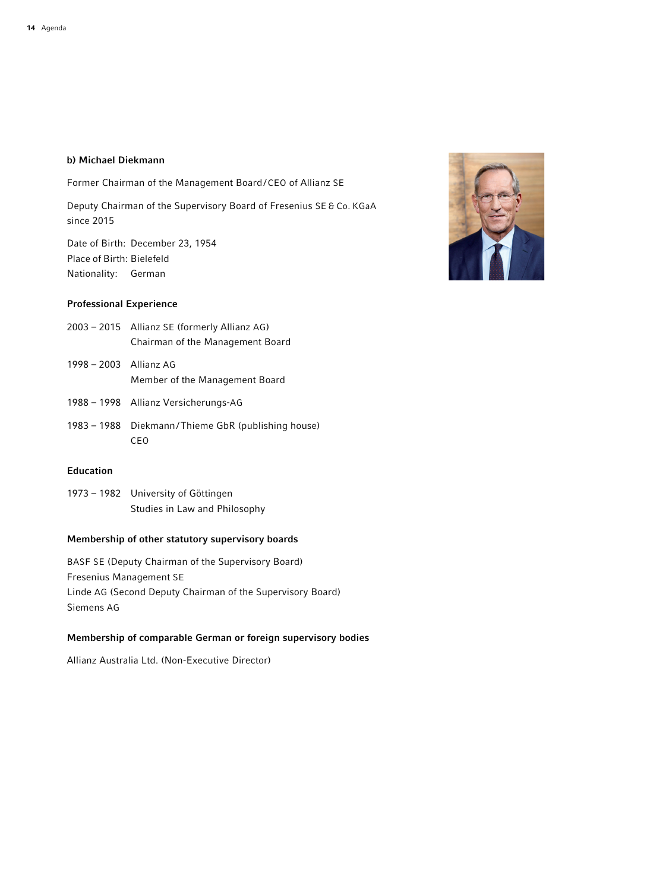### b) Michael Diekmann

Former Chairman of the Management Board/CEO of Allianz SE

Deputy Chairman of the Supervisory Board of Fresenius SE & Co. KGaA since 2015

Date of Birth: December 23, 1954 Place of Birth: Bielefeld Nationality: German

# Professional Experience

- 2003 2015 Allianz SE (formerly Allianz AG) Chairman of the Management Board
- 1998 2003 Allianz AG Member of the Management Board
- 1988 1998 Allianz Versicherungs-AG
- 1983 1988 Diekmann/Thieme GbR (publishing house) CEO

### Education

1973 – 1982 University of Göttingen Studies in Law and Philosophy

# Membership of other statutory supervisory boards

BASF SE (Deputy Chairman of the Supervisory Board) Fresenius Management SE Linde AG (Second Deputy Chairman of the Supervisory Board) Siemens AG

# Membership of comparable German or foreign supervisory bodies

Allianz Australia Ltd. (Non-Executive Director)

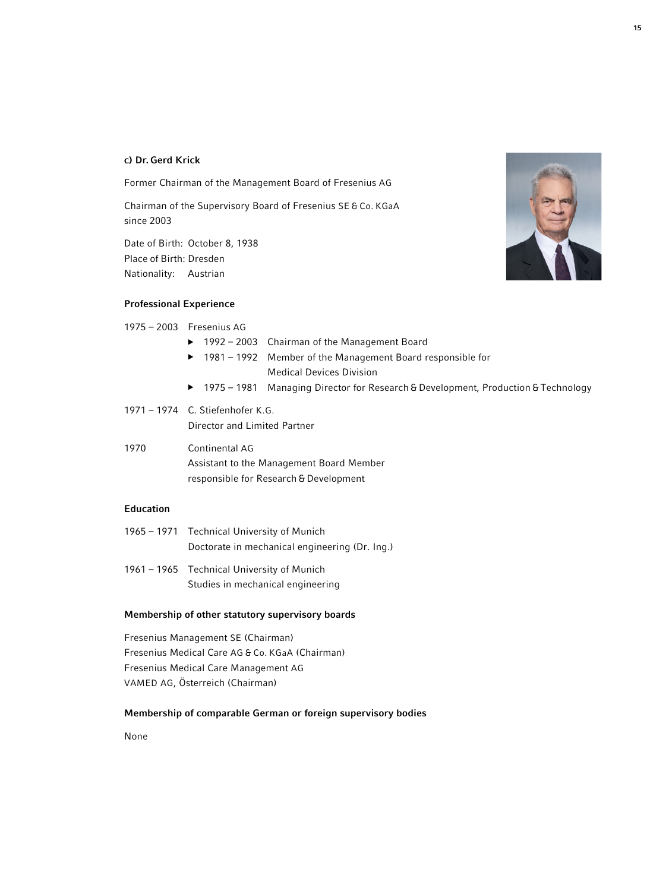#### c) Dr. Gerd Krick

Former Chairman of the Management Board of Fresenius AG

Chairman of the Supervisory Board of Fresenius SE & Co. KGaA since 2003

Date of Birth: October 8, 1938 Place of Birth: Dresden Nationality: Austrian

#### Professional Experience

| 1975 – 2003 Fresenius AG |                                   |  |
|--------------------------|-----------------------------------|--|
|                          | $\blacktriangleright$ 1992 – 2003 |  |

▶ 1981 – 1992 Member of the Management Board responsible for Medical Devices Division

Chairman of the Management Board

- ▶ 1975 1981 Managing Director for Research & Development, Production & Technology
- 1971 1974 C. Stiefenhofer K.G. Director and Limited Partner
- 1970 Continental AG Assistant to the Management Board Member responsible for Research & Development

# Education

- 1965 1971 Technical University of Munich Doctorate in mechanical engineering (Dr. Ing.)
- 1961 1965 Technical University of Munich Studies in mechanical engineering

# Membership of other statutory supervisory boards

Fresenius Management SE (Chairman) Fresenius Medical Care AG & Co. KGaA (Chairman) Fresenius Medical Care Management AG VAMED AG, Österreich (Chairman)

# Membership of comparable German or foreign supervisory bodies

None

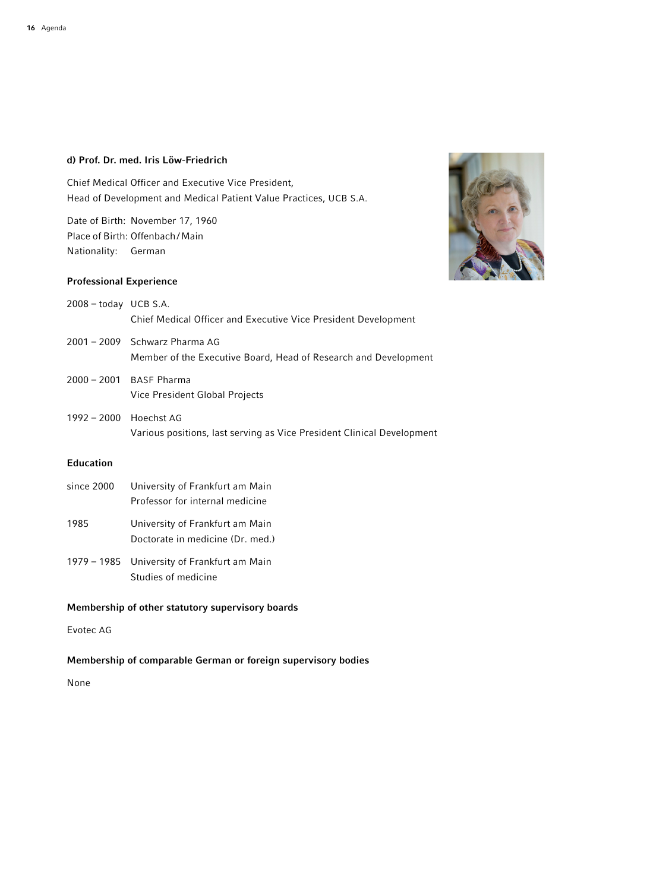# d) Prof. Dr. med. Iris Löw-Friedrich

Chief Medical Officer and Executive Vice President, Head of Development and Medical Patient Value Practices, UCB S.A.

Date of Birth: November 17, 1960 Place of Birth: Offenbach/Main Nationality: German

## Professional Experience



- 2008 today UCB S.A. Chief Medical Officer and Executive Vice President Development
- 2001 2009 Schwarz Pharma AG Member of the Executive Board, Head of Research and Development
- 2000 2001 BASF Pharma Vice President Global Projects
- 1992 2000 Hoechst AG Various positions, last serving as Vice President Clinical Development

# Education

- since 2000 University of Frankfurt am Main Professor for internal medicine
- 1985 University of Frankfurt am Main Doctorate in medicine (Dr. med.)
- 1979 1985 University of Frankfurt am Main Studies of medicine

# Membership of other statutory supervisory boards

Evotec AG

# Membership of comparable German or foreign supervisory bodies

None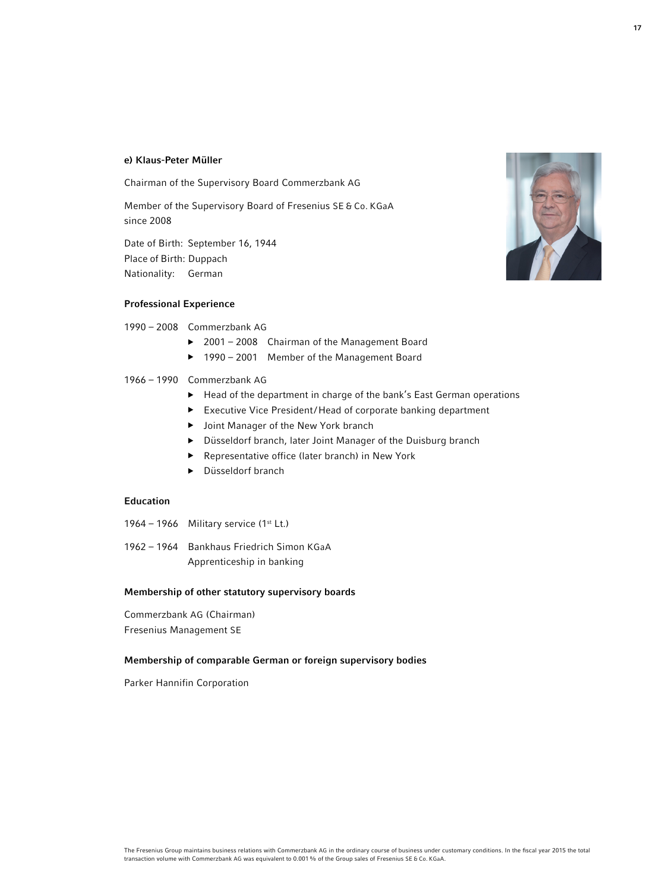#### e) Klaus-Peter Müller

Chairman of the Supervisory Board Commerzbank AG

Member of the Supervisory Board of Fresenius SE & Co. KGaA since 2008

Date of Birth: September 16, 1944 Place of Birth: Duppach Nationality: German

#### Professional Experience

#### 1990 – 2008 Commerzbank AG

- ▶ 2001 2008 Chairman of the Management Board
- ▶ 1990 2001 Member of the Management Board

### 1966 – 1990 Commerzbank AG

- ▶ Head of the department in charge of the bank's East German operations
- ▶ Executive Vice President/Head of corporate banking department
- ▶ Joint Manager of the New York branch
- ▶ Düsseldorf branch, later Joint Manager of the Duisburg branch
- ▶ Representative office (later branch) in New York
- ▶ Düsseldorf branch

#### Education

- 1964 1966 Military service  $(1^{st} Lt.)$
- 1962 1964 Bankhaus Friedrich Simon KGaA Apprenticeship in banking

#### Membership of other statutory supervisory boards

Commerzbank AG (Chairman) Fresenius Management SE

#### Membership of comparable German or foreign supervisory bodies

Parker Hannifin Corporation